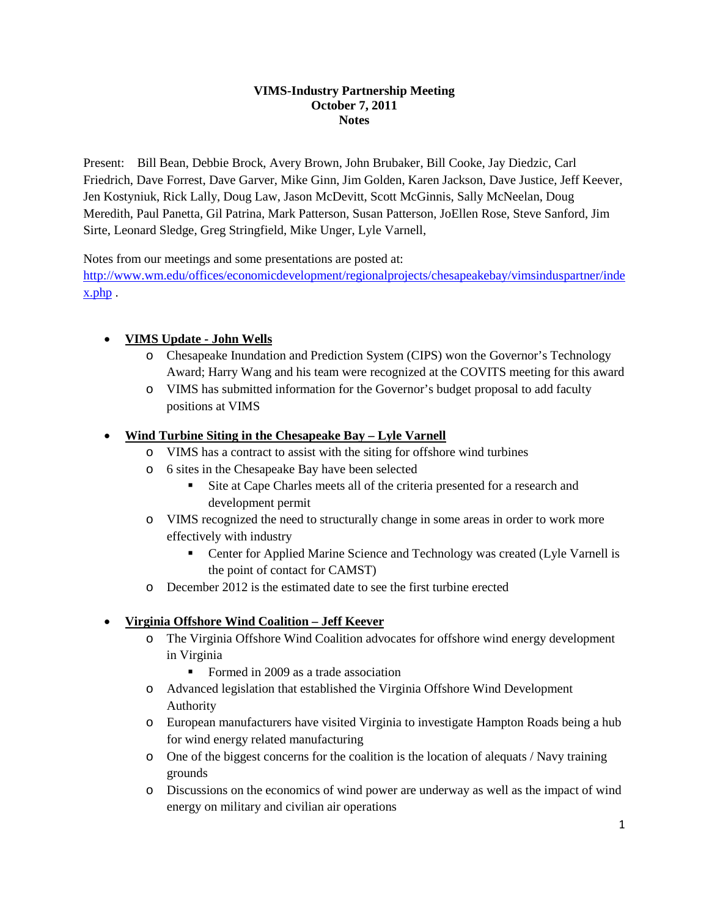#### **VIMS-Industry Partnership Meeting October 7, 2011 Notes**

Present: Bill Bean, Debbie Brock, Avery Brown, John Brubaker, Bill Cooke, Jay Diedzic, Carl Friedrich, Dave Forrest, Dave Garver, Mike Ginn, Jim Golden, Karen Jackson, Dave Justice, Jeff Keever, Jen Kostyniuk, Rick Lally, Doug Law, Jason McDevitt, Scott McGinnis, Sally McNeelan, Doug Meredith, Paul Panetta, Gil Patrina, Mark Patterson, Susan Patterson, JoEllen Rose, Steve Sanford, Jim Sirte, Leonard Sledge, Greg Stringfield, Mike Unger, Lyle Varnell,

Notes from our meetings and some presentations are posted at:

[http://www.wm.edu/offices/economicdevelopment/regionalprojects/chesapeakebay/vimsinduspartner/inde](http://www.wm.edu/offices/economicdevelopment/regionalprojects/chesapeakebay/vimsinduspartner/index.php) [x.php](http://www.wm.edu/offices/economicdevelopment/regionalprojects/chesapeakebay/vimsinduspartner/index.php) .

## • **VIMS Update - John Wells**

- o Chesapeake Inundation and Prediction System (CIPS) won the Governor's Technology Award; Harry Wang and his team were recognized at the COVITS meeting for this award
- o VIMS has submitted information for the Governor's budget proposal to add faculty positions at VIMS

## • **Wind Turbine Siting in the Chesapeake Bay – Lyle Varnell**

- o VIMS has a contract to assist with the siting for offshore wind turbines
- o 6 sites in the Chesapeake Bay have been selected
	- Site at Cape Charles meets all of the criteria presented for a research and development permit
- o VIMS recognized the need to structurally change in some areas in order to work more effectively with industry
	- Center for Applied Marine Science and Technology was created (Lyle Varnell is the point of contact for CAMST)
- o December 2012 is the estimated date to see the first turbine erected

# • **Virginia Offshore Wind Coalition – Jeff Keever**

- o The Virginia Offshore Wind Coalition advocates for offshore wind energy development in Virginia
	- Formed in 2009 as a trade association
- o Advanced legislation that established the Virginia Offshore Wind Development Authority
- o European manufacturers have visited Virginia to investigate Hampton Roads being a hub for wind energy related manufacturing
- o One of the biggest concerns for the coalition is the location of alequats / Navy training grounds
- o Discussions on the economics of wind power are underway as well as the impact of wind energy on military and civilian air operations